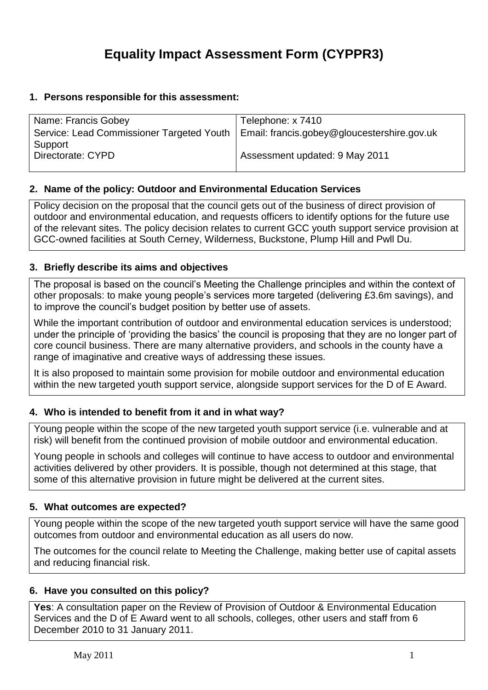# **Equality Impact Assessment Form (CYPPR3)**

# **1. Persons responsible for this assessment:**

| Name: Francis Gobey                                                                     | Telephone: x 7410              |
|-----------------------------------------------------------------------------------------|--------------------------------|
| Service: Lead Commissioner Targeted Youth   Email: francis.gobey@gloucestershire.gov.uk |                                |
| Support                                                                                 |                                |
| Directorate: CYPD                                                                       | Assessment updated: 9 May 2011 |
|                                                                                         |                                |

# **2. Name of the policy: Outdoor and Environmental Education Services**

Policy decision on the proposal that the council gets out of the business of direct provision of outdoor and environmental education, and requests officers to identify options for the future use of the relevant sites. The policy decision relates to current GCC youth support service provision at GCC-owned facilities at South Cerney, Wilderness, Buckstone, Plump Hill and Pwll Du.

# **3. Briefly describe its aims and objectives**

The proposal is based on the council's Meeting the Challenge principles and within the context of other proposals: to make young people's services more targeted (delivering £3.6m savings), and to improve the council's budget position by better use of assets.

While the important contribution of outdoor and environmental education services is understood; under the principle of 'providing the basics' the council is proposing that they are no longer part of core council business. There are many alternative providers, and schools in the county have a range of imaginative and creative ways of addressing these issues.

It is also proposed to maintain some provision for mobile outdoor and environmental education within the new targeted youth support service, alongside support services for the D of E Award.

# **4. Who is intended to benefit from it and in what way?**

Young people within the scope of the new targeted youth support service (i.e. vulnerable and at risk) will benefit from the continued provision of mobile outdoor and environmental education.

Young people in schools and colleges will continue to have access to outdoor and environmental activities delivered by other providers. It is possible, though not determined at this stage, that some of this alternative provision in future might be delivered at the current sites.

#### **5. What outcomes are expected?**

Young people within the scope of the new targeted youth support service will have the same good outcomes from outdoor and environmental education as all users do now.

The outcomes for the council relate to Meeting the Challenge, making better use of capital assets and reducing financial risk.

# **6. Have you consulted on this policy?**

**Yes**: A consultation paper on the Review of Provision of Outdoor & Environmental Education Services and the D of E Award went to all schools, colleges, other users and staff from 6 December 2010 to 31 January 2011.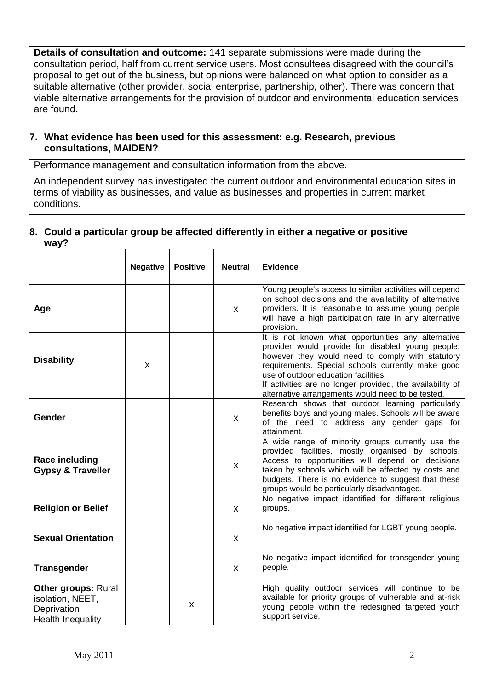**Details of consultation and outcome:** 141 separate submissions were made during the consultation period, half from current service users. Most consultees disagreed with the council's proposal to get out of the business, but opinions were balanced on what option to consider as a suitable alternative (other provider, social enterprise, partnership, other). There was concern that viable alternative arrangements for the provision of outdoor and environmental education services are found.

# **7. What evidence has been used for this assessment: e.g. Research, previous consultations, MAIDEN?**

Performance management and consultation information from the above.

An independent survey has investigated the current outdoor and environmental education sites in terms of viability as businesses, and value as businesses and properties in current market conditions.

# **8. Could a particular group be affected differently in either a negative or positive way?**

|                                                                                           | <b>Negative</b> | <b>Positive</b> | <b>Neutral</b> | <b>Evidence</b>                                                                                                                                                                                                                                                                                                                                                            |
|-------------------------------------------------------------------------------------------|-----------------|-----------------|----------------|----------------------------------------------------------------------------------------------------------------------------------------------------------------------------------------------------------------------------------------------------------------------------------------------------------------------------------------------------------------------------|
| Age                                                                                       |                 |                 | X              | Young people's access to similar activities will depend<br>on school decisions and the availability of alternative<br>providers. It is reasonable to assume young people<br>will have a high participation rate in any alternative<br>provision.                                                                                                                           |
| <b>Disability</b>                                                                         | X               |                 |                | It is not known what opportunities any alternative<br>provider would provide for disabled young people;<br>however they would need to comply with statutory<br>requirements. Special schools currently make good<br>use of outdoor education facilities.<br>If activities are no longer provided, the availability of<br>alternative arrangements would need to be tested. |
| Gender                                                                                    |                 |                 | X              | Research shows that outdoor learning particularly<br>benefits boys and young males. Schools will be aware<br>of the need to address any gender gaps for<br>attainment.                                                                                                                                                                                                     |
| <b>Race including</b><br><b>Gypsy &amp; Traveller</b>                                     |                 |                 | X              | A wide range of minority groups currently use the<br>provided facilities, mostly organised by schools.<br>Access to opportunities will depend on decisions<br>taken by schools which will be affected by costs and<br>budgets. There is no evidence to suggest that these<br>groups would be particularly disadvantaged.                                                   |
| <b>Religion or Belief</b>                                                                 |                 |                 | X              | No negative impact identified for different religious<br>groups.                                                                                                                                                                                                                                                                                                           |
| <b>Sexual Orientation</b>                                                                 |                 |                 | X              | No negative impact identified for LGBT young people.                                                                                                                                                                                                                                                                                                                       |
| <b>Transgender</b>                                                                        |                 |                 | X              | No negative impact identified for transgender young<br>people.                                                                                                                                                                                                                                                                                                             |
| <b>Other groups: Rural</b><br>isolation, NEET,<br>Deprivation<br><b>Health Inequality</b> |                 | X               |                | High quality outdoor services will continue to be<br>available for priority groups of vulnerable and at-risk<br>young people within the redesigned targeted youth<br>support service.                                                                                                                                                                                      |